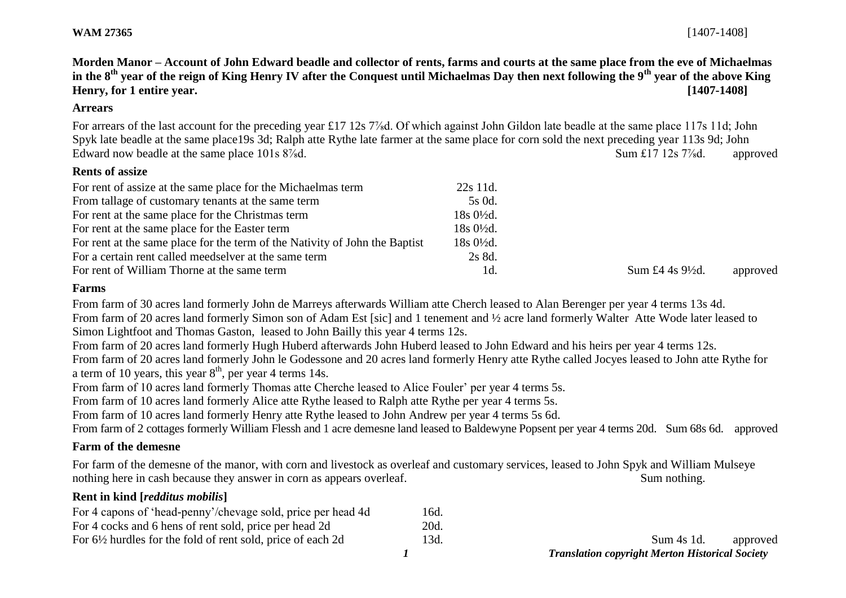**WAM 27365** [1407-1408]

**Morden Manor – Account of John Edward beadle and collector of rents, farms and courts at the same place from the eve of Michaelmas in the 8th year of the reign of King Henry IV after the Conquest until Michaelmas Day then next following the 9th year of the above King Henry, for 1 entire year. [1407-1408]**

## **Arrears**

For arrears of the last account for the preceding year £17 12s 7<sup>%</sup>d. Of which against John Gildon late beadle at the same place 117s 11d; John Spyk late beadle at the same place19s 3d; Ralph atte Rythe late farmer at the same place for corn sold the next preceding year 113s 9d; John Edward now beadle at the same place 101s 8<sup>7</sup>/<sub>8</sub>d. The same place 101s 8<sup>7</sup>/<sub>8</sub>d. Approved

# **Rents of assize**

| For rent of assize at the same place for the Michaelmas term                | 22s 11d.               |                             |          |
|-----------------------------------------------------------------------------|------------------------|-----------------------------|----------|
| From tallage of customary tenants at the same term                          | 5s 0d.                 |                             |          |
| For rent at the same place for the Christmas term                           | $18s\ 0\frac{1}{2}d$ . |                             |          |
| For rent at the same place for the Easter term                              | $18s\,0\frac{1}{2}d$ . |                             |          |
| For rent at the same place for the term of the Nativity of John the Baptist | $18s0\frac{1}{2}d$ .   |                             |          |
| For a certain rent called meedselver at the same term                       | 2s 8d.                 |                             |          |
| For rent of William Thorne at the same term                                 | 1d.                    | Sum £4 4s $9\frac{1}{2}d$ . | approved |

## **Farms**

From farm of 30 acres land formerly John de Marreys afterwards William atte Cherch leased to Alan Berenger per year 4 terms 13s 4d. From farm of 20 acres land formerly Simon son of Adam Est [sic] and 1 tenement and ½ acre land formerly Walter Atte Wode later leased to Simon Lightfoot and Thomas Gaston, leased to John Bailly this year 4 terms 12s.

From farm of 20 acres land formerly Hugh Huberd afterwards John Huberd leased to John Edward and his heirs per year 4 terms 12s.

From farm of 20 acres land formerly John le Godessone and 20 acres land formerly Henry atte Rythe called Jocyes leased to John atte Rythe for a term of 10 years, this year  $8<sup>th</sup>$ , per year 4 terms 14s.

From farm of 10 acres land formerly Thomas atte Cherche leased to Alice Fouler' per year 4 terms 5s.

From farm of 10 acres land formerly Alice atte Rythe leased to Ralph atte Rythe per year 4 terms 5s.

From farm of 10 acres land formerly Henry atte Rythe leased to John Andrew per year 4 terms 5s 6d.

From farm of 2 cottages formerly William Flessh and 1 acre demesne land leased to Baldewyne Popsent per year 4 terms 20d. Sum 68s 6d. approved

### **Farm of the demesne**

For farm of the demesne of the manor, with corn and livestock as overleaf and customary services, leased to John Spyk and William Mulseye nothing here in cash because they answer in corn as appears overleaf. Sum nothing.

### **Rent in kind [***redditus mobilis***]**

| For 4 capons of 'head-penny'/chevage sold, price per head 4d           | 16d. |            |          |
|------------------------------------------------------------------------|------|------------|----------|
| For 4 cocks and 6 hens of rent sold, price per head 2d                 | 20d. |            |          |
| For $6\frac{1}{2}$ hurdles for the fold of rent sold, price of each 2d | 13d. | Sum 4s 1d. | approved |

*1 Translation copyright Merton Historical Society*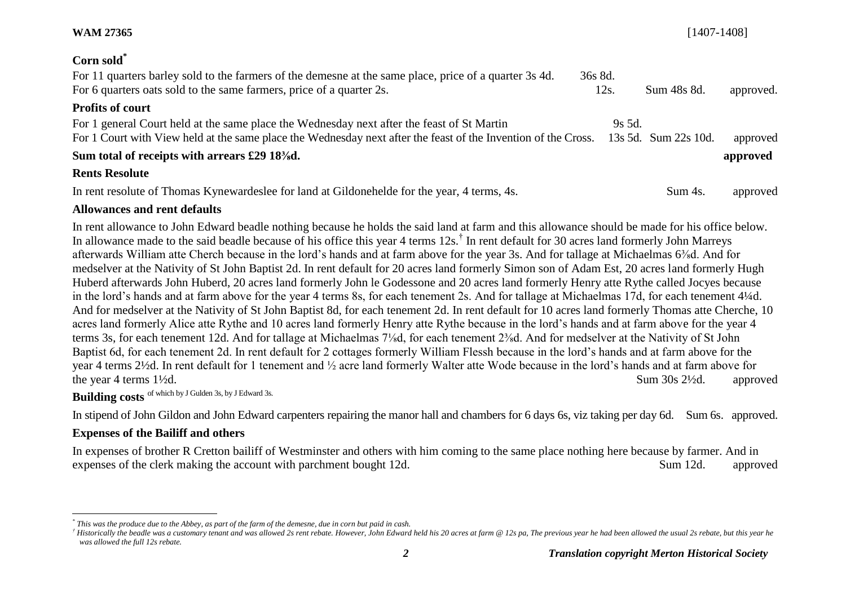| Corn sold*                                                                                                                                                                     |                 |                      |           |
|--------------------------------------------------------------------------------------------------------------------------------------------------------------------------------|-----------------|----------------------|-----------|
| For 11 quarters barley sold to the farmers of the demesne at the same place, price of a quarter 3s 4d.<br>For 6 quarters oats sold to the same farmers, price of a quarter 2s. | 36s 8d.<br>12s. | Sum 48s 8d.          | approved. |
| <b>Profits of court</b>                                                                                                                                                        |                 |                      |           |
| For 1 general Court held at the same place the Wednesday next after the feast of St Martin                                                                                     | $9s$ 5d.        |                      |           |
| For 1 Court with View held at the same place the Wednesday next after the feast of the Invention of the Cross.                                                                 |                 | 13s 5d. Sum 22s 10d. | approved  |
| Sum total of receipts with arrears £29 18 <sup>3</sup> / <sub>8</sub> d.                                                                                                       |                 |                      | approved  |
| <b>Rents Resolute</b>                                                                                                                                                          |                 |                      |           |
| In rent resolute of Thomas Kynewardeslee for land at Gildonehelde for the year, 4 terms, 4s.                                                                                   |                 | Sum 4s.              | approved  |

**WAM 27365** [1407-1408]

# **Allowances and rent defaults**

In rent allowance to John Edward beadle nothing because he holds the said land at farm and this allowance should be made for his office below. In allowance made to the said beadle because of his office this year 4 terms 12s.<sup>†</sup> In rent default for 30 acres land formerly John Marreys afterwards William atte Cherch because in the lord's hands and at farm above for the year 3s. And for tallage at Michaelmas 6⅜d. And for medselver at the Nativity of St John Baptist 2d. In rent default for 20 acres land formerly Simon son of Adam Est, 20 acres land formerly Hugh Huberd afterwards John Huberd, 20 acres land formerly John le Godessone and 20 acres land formerly Henry atte Rythe called Jocyes because in the lord's hands and at farm above for the year 4 terms 8s, for each tenement 2s. And for tallage at Michaelmas 17d, for each tenement 4¼d. And for medselver at the Nativity of St John Baptist 8d, for each tenement 2d. In rent default for 10 acres land formerly Thomas atte Cherche, 10 acres land formerly Alice atte Rythe and 10 acres land formerly Henry atte Rythe because in the lord's hands and at farm above for the year 4 terms 3s, for each tenement 12d. And for tallage at Michaelmas 7⅛d, for each tenement 2⅜d. And for medselver at the Nativity of St John Baptist 6d, for each tenement 2d. In rent default for 2 cottages formerly William Flessh because in the lord's hands and at farm above for the year 4 terms 2½d. In rent default for 1 tenement and ½ acre land formerly Walter atte Wode because in the lord's hands and at farm above for the year 4 terms 1<sup>1</sup>/2d. approved the year 4 terms 1<sup>1</sup>/2d. approved

**Building costs** of which by J Gulden 3s, by J Edward 3s.

In stipend of John Gildon and John Edward carpenters repairing the manor hall and chambers for 6 days 6s, viz taking per day 6d. Sum 6s. approved.

# **Expenses of the Bailiff and others**

In expenses of brother R Cretton bailiff of Westminster and others with him coming to the same place nothing here because by farmer. And in expenses of the clerk making the account with parchment bought 12d. Sum 12d. Sum 12d. approved

l *\* This was the produce due to the Abbey, as part of the farm of the demesne, due in corn but paid in cash.*

Historically the beadle was a customary tenant and was allowed 2s rent rebate. However, John Edward held his 20 acres at farm @ 12s pa, The previous year he had been allowed the usual 2s rebate, but this year he *was allowed the full 12s rebate.*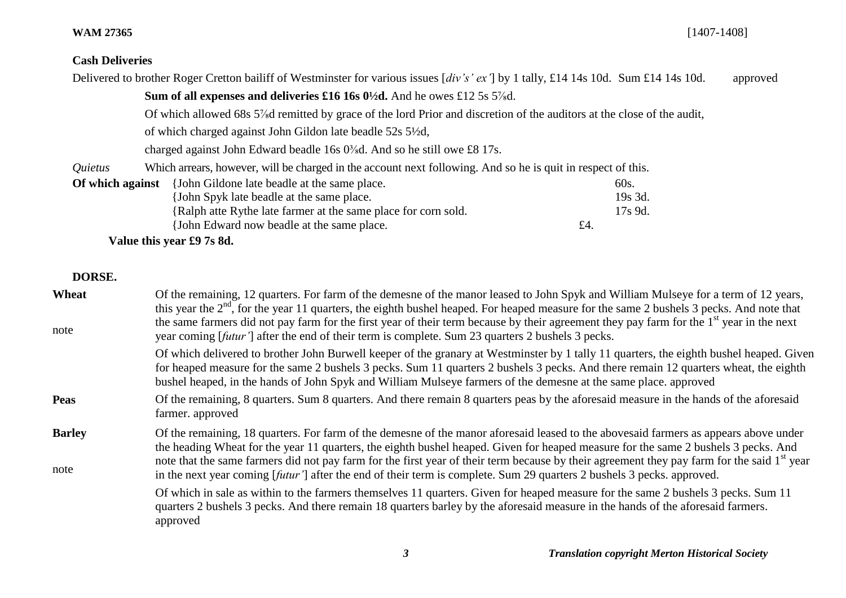# **WAM 27365** [1407-1408]

# **Cash Deliveries**

|                  | Delivered to brother Roger Cretton bailiff of Westminster for various issues [div's' ex'] by 1 tally, £14 14s 10d. Sum £14 14s 10d. |           | approved |
|------------------|-------------------------------------------------------------------------------------------------------------------------------------|-----------|----------|
|                  | Sum of all expenses and deliveries £16 16s $0\frac{1}{2}$ d. And he owes £12 5s 5 <sup>7</sup> / <sub>s</sub> d.                    |           |          |
|                  | Of which allowed 68s 5% dremitted by grace of the lord Prior and discretion of the auditors at the close of the audit,              |           |          |
|                  | of which charged against John Gildon late beadle 52s 5½d,                                                                           |           |          |
|                  | charged against John Edward beadle 16s $0\frac{3}{8}$ d. And so he still owe £8 17s.                                                |           |          |
| Quietus          | Which arrears, however, will be charged in the account next following. And so he is quit in respect of this.                        |           |          |
| Of which against | {John Gildone late beadle at the same place.                                                                                        | 60s.      |          |
|                  | [John Spyk late beadle at the same place.]                                                                                          | 19s 3d.   |          |
|                  | {Ralph atte Rythe late farmer at the same place for corn sold.                                                                      | $17s$ 9d. |          |
|                  | {John Edward now beadle at the same place.                                                                                          | £4.       |          |

**Value this year £9 7s 8d.**

# **DORSE.**

| Wheat<br>note         | Of the remaining, 12 quarters. For farm of the demesne of the manor leased to John Spyk and William Mulseye for a term of 12 years,<br>this year the $2nd$ , for the year 11 quarters, the eighth bushel heaped. For heaped measure for the same 2 bushels 3 pecks. And note that<br>the same farmers did not pay farm for the first year of their term because by their agreement they pay farm for the 1 <sup>st</sup> year in the next<br>year coming [futur'] after the end of their term is complete. Sum 23 quarters 2 bushels 3 pecks.                   |
|-----------------------|-----------------------------------------------------------------------------------------------------------------------------------------------------------------------------------------------------------------------------------------------------------------------------------------------------------------------------------------------------------------------------------------------------------------------------------------------------------------------------------------------------------------------------------------------------------------|
|                       | Of which delivered to brother John Burwell keeper of the granary at Westminster by 1 tally 11 quarters, the eighth bushel heaped. Given<br>for heaped measure for the same 2 bushels 3 pecks. Sum 11 quarters 2 bushels 3 pecks. And there remain 12 quarters wheat, the eighth<br>bushel heaped, in the hands of John Spyk and William Mulseye farmers of the demesne at the same place. approved                                                                                                                                                              |
| <b>Peas</b>           | Of the remaining, 8 quarters. Sum 8 quarters. And there remain 8 quarters peas by the aforesaid measure in the hands of the aforesaid<br>farmer. approved                                                                                                                                                                                                                                                                                                                                                                                                       |
| <b>Barley</b><br>note | Of the remaining, 18 quarters. For farm of the demesne of the manor aforesaid leased to the abovesaid farmers as appears above under<br>the heading Wheat for the year 11 quarters, the eighth bushel heaped. Given for heaped measure for the same 2 bushels 3 pecks. And<br>note that the same farmers did not pay farm for the first year of their term because by their agreement they pay farm for the said 1 <sup>st</sup> year<br>in the next year coming [futur'] after the end of their term is complete. Sum 29 quarters 2 bushels 3 pecks. approved. |
|                       | Of which in sale as within to the farmers themselves 11 quarters. Given for heaped measure for the same 2 bushels 3 pecks. Sum 11<br>quarters 2 bushels 3 pecks. And there remain 18 quarters barley by the aforesaid measure in the hands of the aforesaid farmers.<br>approved                                                                                                                                                                                                                                                                                |